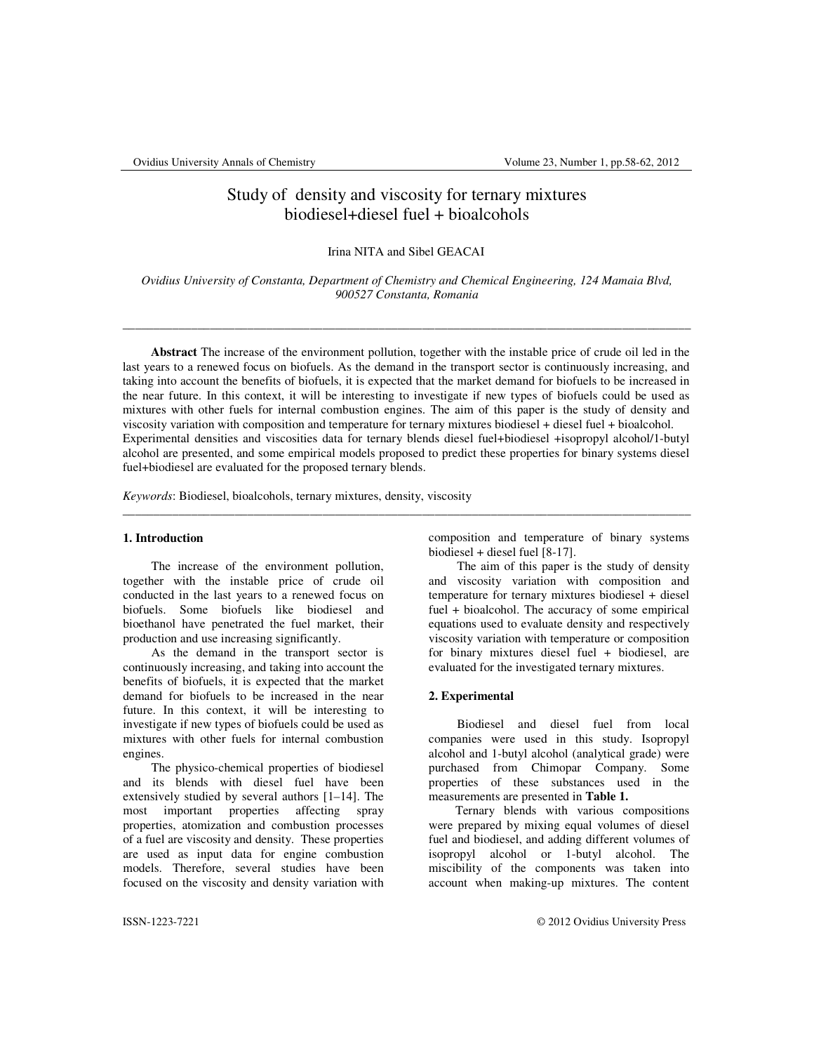# Study of density and viscosity for ternary mixtures biodiesel+diesel fuel + bioalcohols

#### Irina NITA and Sibel GEACAI

*Ovidius University of Constanta, Department of Chemistry and Chemical Engineering, 124 Mamaia Blvd, 900527 Constanta, Romania* 

\_\_\_\_\_\_\_\_\_\_\_\_\_\_\_\_\_\_\_\_\_\_\_\_\_\_\_\_\_\_\_\_\_\_\_\_\_\_\_\_\_\_\_\_\_\_\_\_\_\_\_\_\_\_\_\_\_\_\_\_\_\_\_\_\_\_\_\_\_\_\_\_\_\_\_\_\_\_\_\_\_\_\_\_\_\_\_\_\_\_\_

**Abstract** The increase of the environment pollution, together with the instable price of crude oil led in the last years to a renewed focus on biofuels. As the demand in the transport sector is continuously increasing, and taking into account the benefits of biofuels, it is expected that the market demand for biofuels to be increased in the near future. In this context, it will be interesting to investigate if new types of biofuels could be used as mixtures with other fuels for internal combustion engines. The aim of this paper is the study of density and viscosity variation with composition and temperature for ternary mixtures biodiesel + diesel fuel + bioalcohol. Experimental densities and viscosities data for ternary blends diesel fuel+biodiesel +isopropyl alcohol/1-butyl alcohol are presented, and some empirical models proposed to predict these properties for binary systems diesel fuel+biodiesel are evaluated for the proposed ternary blends.

\_\_\_\_\_\_\_\_\_\_\_\_\_\_\_\_\_\_\_\_\_\_\_\_\_\_\_\_\_\_\_\_\_\_\_\_\_\_\_\_\_\_\_\_\_\_\_\_\_\_\_\_\_\_\_\_\_\_\_\_\_\_\_\_\_\_\_\_\_\_\_\_\_\_\_\_\_\_\_\_\_\_\_\_\_\_\_\_\_\_\_

*Keywords*: Biodiesel, bioalcohols, ternary mixtures, density, viscosity

## **1. Introduction**

The increase of the environment pollution, together with the instable price of crude oil conducted in the last years to a renewed focus on biofuels. Some biofuels like biodiesel and bioethanol have penetrated the fuel market, their production and use increasing significantly.

As the demand in the transport sector is continuously increasing, and taking into account the benefits of biofuels, it is expected that the market demand for biofuels to be increased in the near future. In this context, it will be interesting to investigate if new types of biofuels could be used as mixtures with other fuels for internal combustion engines.

The physico-chemical properties of biodiesel and its blends with diesel fuel have been extensively studied by several authors [1–14]. The most important properties affecting spray properties, atomization and combustion processes of a fuel are viscosity and density. These properties are used as input data for engine combustion models. Therefore, several studies have been focused on the viscosity and density variation with composition and temperature of binary systems biodiesel + diesel fuel [8-17].

The aim of this paper is the study of density and viscosity variation with composition and temperature for ternary mixtures biodiesel + diesel fuel + bioalcohol. The accuracy of some empirical equations used to evaluate density and respectively viscosity variation with temperature or composition for binary mixtures diesel fuel + biodiesel, are evaluated for the investigated ternary mixtures.

#### **2. Experimental**

Biodiesel and diesel fuel from local companies were used in this study. Isopropyl alcohol and 1-butyl alcohol (analytical grade) were purchased from Chimopar Company. Some properties of these substances used in the measurements are presented in **Table 1.**

Ternary blends with various compositions were prepared by mixing equal volumes of diesel fuel and biodiesel, and adding different volumes of isopropyl alcohol or 1-butyl alcohol. The miscibility of the components was taken into account when making-up mixtures. The content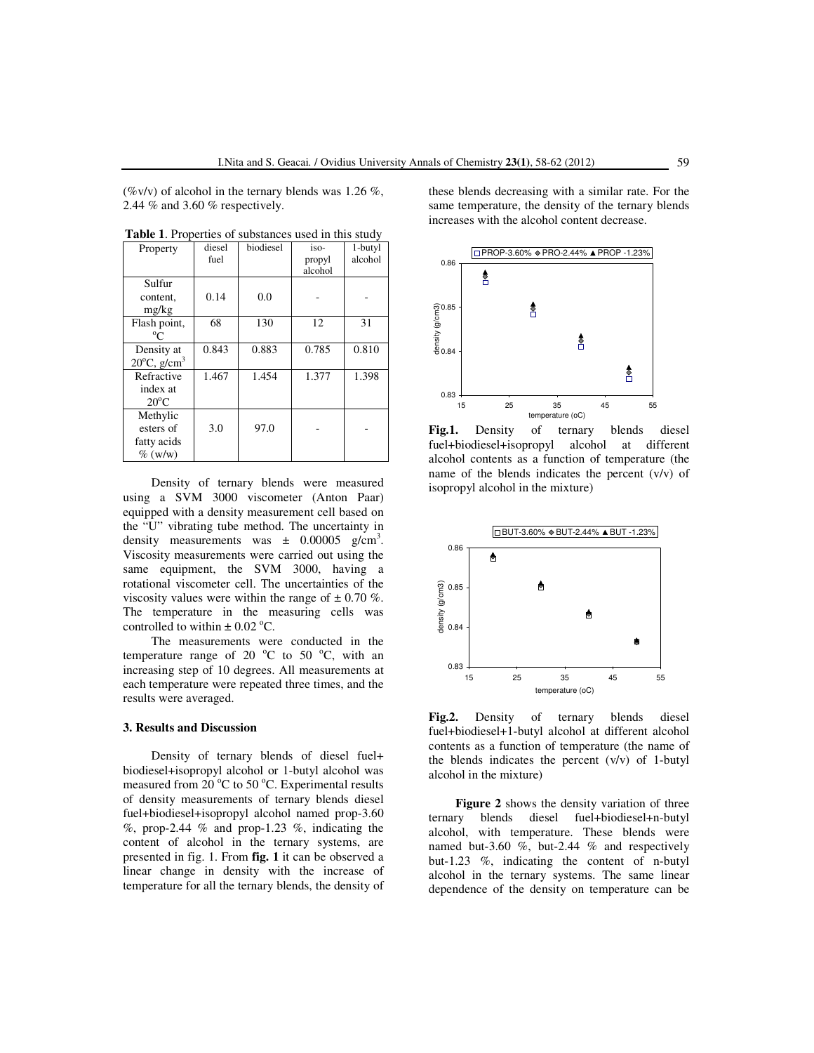(%v/v) of alcohol in the ternary blends was 1.26 %, 2.44 % and 3.60 % respectively.

| Property                                           | diesel<br>fuel | biodiesel | iso-<br>propyl<br>alcohol | 1-butyl<br>alcohol |
|----------------------------------------------------|----------------|-----------|---------------------------|--------------------|
| Sulfur<br>content,<br>mg/kg                        | 0.14           | 0.0       |                           |                    |
| Flash point,<br>$^{\circ}C$                        | 68             | 130       | 12                        | 31                 |
| Density at<br>$20^{\circ}$ C, g/cm <sup>3</sup>    | 0.843          | 0.883     | 0.785                     | 0.810              |
| Refractive<br>index at<br>$20^{\circ}$ C           | 1.467          | 1.454     | 1.377                     | 1.398              |
| Methylic<br>esters of<br>fatty acids<br>$\%$ (w/w) | 3.0            | 97.0      |                           |                    |

**Table 1**. Properties of substances used in this study

Density of ternary blends were measured using a SVM 3000 viscometer (Anton Paar) equipped with a density measurement cell based on the "U" vibrating tube method. The uncertainty in density measurements was  $\pm$  0.00005 g/cm<sup>3</sup>. Viscosity measurements were carried out using the same equipment, the SVM 3000, having a rotational viscometer cell. The uncertainties of the viscosity values were within the range of  $\pm$  0.70 %. The temperature in the measuring cells was controlled to within  $\pm$  0.02 °C.

The measurements were conducted in the temperature range of 20  $^{\circ}$ C to 50  $^{\circ}$ C, with an increasing step of 10 degrees. All measurements at each temperature were repeated three times, and the results were averaged.

#### **3. Results and Discussion**

Density of ternary blends of diesel fuel+ biodiesel+isopropyl alcohol or 1-butyl alcohol was measured from  $20^{\circ}$ C to 50 °C. Experimental results of density measurements of ternary blends diesel fuel+biodiesel+isopropyl alcohol named prop-3.60  $\%$ , prop-2.44  $\%$  and prop-1.23  $\%$ , indicating the content of alcohol in the ternary systems, are presented in fig. 1. From **fig. 1** it can be observed a linear change in density with the increase of temperature for all the ternary blends, the density of

these blends decreasing with a similar rate. For the same temperature, the density of the ternary blends increases with the alcohol content decrease.



**Fig.1.** Density of ternary blends diesel fuel+biodiesel+isopropyl alcohol at different alcohol contents as a function of temperature (the name of the blends indicates the percent (v/v) of isopropyl alcohol in the mixture)



**Fig.2.** Density of ternary blends diesel fuel+biodiesel+1-butyl alcohol at different alcohol contents as a function of temperature (the name of the blends indicates the percent (v/v) of 1-butyl alcohol in the mixture)

**Figure 2** shows the density variation of three ternary blends diesel fuel+biodiesel+n-butyl alcohol, with temperature. These blends were named but-3.60 %, but-2.44 % and respectively but-1.23 %, indicating the content of n-butyl alcohol in the ternary systems. The same linear dependence of the density on temperature can be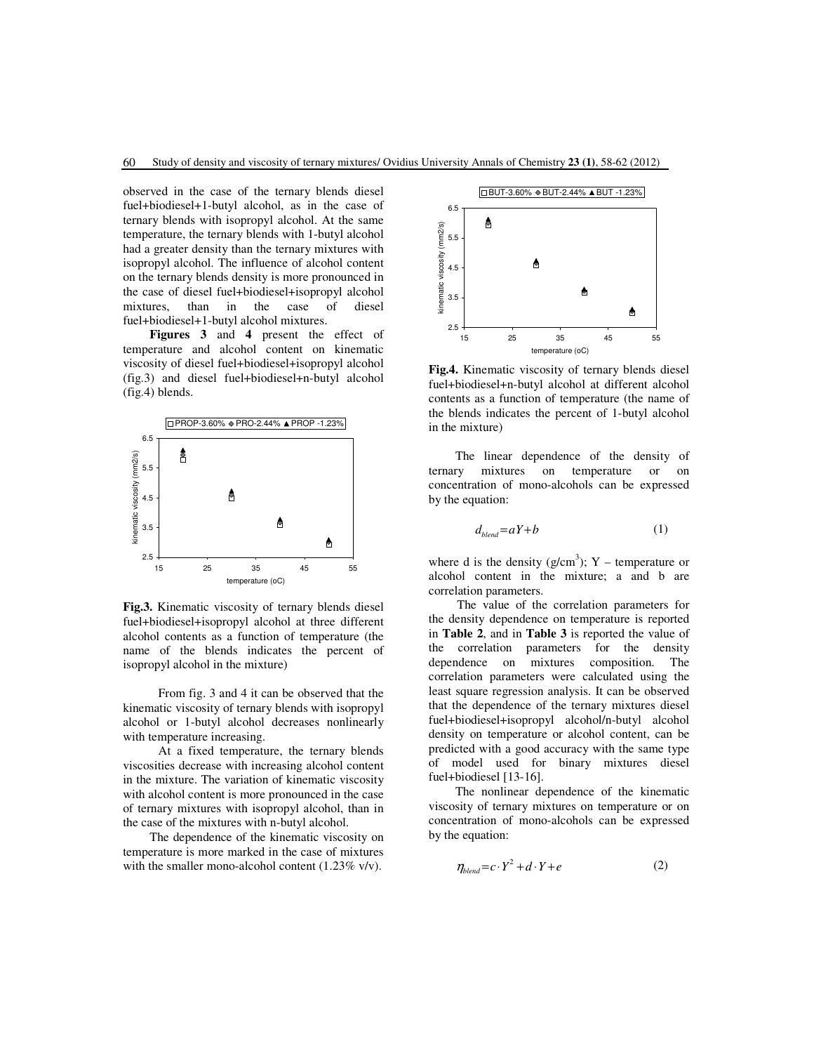observed in the case of the ternary blends diesel fuel+biodiesel+1-butyl alcohol, as in the case of ternary blends with isopropyl alcohol. At the same temperature, the ternary blends with 1-butyl alcohol had a greater density than the ternary mixtures with isopropyl alcohol. The influence of alcohol content on the ternary blends density is more pronounced in the case of diesel fuel+biodiesel+isopropyl alcohol mixtures, than in the case of diesel fuel+biodiesel+1-butyl alcohol mixtures.

**Figures 3** and **4** present the effect of temperature and alcohol content on kinematic viscosity of diesel fuel+biodiesel+isopropyl alcohol (fig.3) and diesel fuel+biodiesel+n-butyl alcohol (fig.4) blends.



**Fig.3.** Kinematic viscosity of ternary blends diesel fuel+biodiesel+isopropyl alcohol at three different alcohol contents as a function of temperature (the name of the blends indicates the percent of isopropyl alcohol in the mixture)

From fig. 3 and 4 it can be observed that the kinematic viscosity of ternary blends with isopropyl alcohol or 1-butyl alcohol decreases nonlinearly with temperature increasing.

At a fixed temperature, the ternary blends viscosities decrease with increasing alcohol content in the mixture. The variation of kinematic viscosity with alcohol content is more pronounced in the case of ternary mixtures with isopropyl alcohol, than in the case of the mixtures with n-butyl alcohol.

The dependence of the kinematic viscosity on temperature is more marked in the case of mixtures with the smaller mono-alcohol content (1.23% v/v).



**Fig.4.** Kinematic viscosity of ternary blends diesel fuel+biodiesel+n-butyl alcohol at different alcohol contents as a function of temperature (the name of the blends indicates the percent of 1-butyl alcohol in the mixture)

The linear dependence of the density of ternary mixtures on temperature or on concentration of mono-alcohols can be expressed by the equation:

$$
d_{\text{blend}} = aY + b \tag{1}
$$

where d is the density  $(g/cm^3)$ ; Y – temperature or alcohol content in the mixture; a and b are correlation parameters.

The value of the correlation parameters for the density dependence on temperature is reported in **Table 2**, and in **Table 3** is reported the value of the correlation parameters for the density dependence on mixtures composition. The correlation parameters were calculated using the least square regression analysis. It can be observed that the dependence of the ternary mixtures diesel fuel+biodiesel+isopropyl alcohol/n-butyl alcohol density on temperature or alcohol content, can be predicted with a good accuracy with the same type of model used for binary mixtures diesel fuel+biodiesel [13-16].

The nonlinear dependence of the kinematic viscosity of ternary mixtures on temperature or on concentration of mono-alcohols can be expressed by the equation:

$$
\eta_{\text{blend}} = c \cdot Y^2 + d \cdot Y + e \tag{2}
$$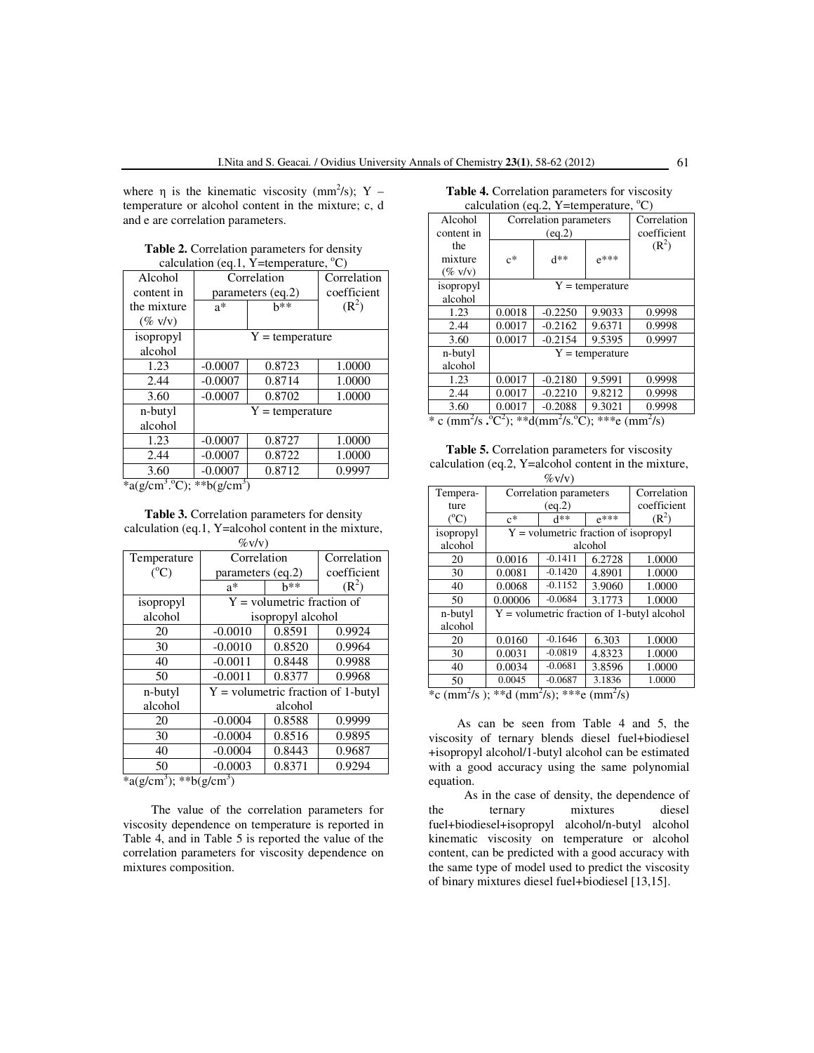where  $\eta$  is the kinematic viscosity (mm<sup>2</sup>/s); Y – temperature or alcohol content in the mixture; c, d and e are correlation parameters.

| <b>Table 2.</b> Correlation parameters for density |
|----------------------------------------------------|
| calculation (eq.1, Y=temperature, $^{\circ}$ C)    |

| Alcohol     | Correlation       |        | Correlation |
|-------------|-------------------|--------|-------------|
| content in  | parameters (eq.2) |        | coefficient |
| the mixture | $h**$<br>$a^*$    |        | $(R^2)$     |
| $(\%$ v/v)  |                   |        |             |
| isopropyl   | $Y = temperature$ |        |             |
| alcohol     |                   |        |             |
| 1.23        | $-0.0007$         | 0.8723 | 1.0000      |
| 2.44        | $-0.0007$         | 0.8714 | 1.0000      |
| 3.60        | $-0.0007$         | 0.8702 | 1.0000      |
| n-butyl     | $Y = temperature$ |        |             |
| alcohol     |                   |        |             |
| 1.23        | $-0.0007$         | 0.8727 | 1.0000      |
| 2.44        | $-0.0007$         | 0.8722 | 1.0000      |
| 3.60        | $-0.0007$         | 0.8712 | 0.9997      |

\*a(g/cm<sup>3</sup>.°C); \*\*b(g/cm<sup>3</sup>)

**Table 3.** Correlation parameters for density calculation (eq.1, Y=alcohol content in the mixture,  $\mathcal{O}'_{\alpha V}/V$ 

| 70 V I V J      |                                      |        |             |  |
|-----------------|--------------------------------------|--------|-------------|--|
| Temperature     | Correlation                          |        | Correlation |  |
| $({}^{\circ}C)$ | parameters (eq.2)                    |        | coefficient |  |
|                 | $h**$<br>$a^*$                       |        | $(R^2)$     |  |
| isopropyl       | $Y =$ volumetric fraction of         |        |             |  |
| alcohol         | isopropyl alcohol                    |        |             |  |
| 20              | $-0.0010$                            | 0.8591 | 0.9924      |  |
| 30              | $-0.0010$                            | 0.8520 | 0.9964      |  |
| 40              | $-0.0011$                            | 0.8448 | 0.9988      |  |
| 50              | $-0.0011$                            | 0.8377 | 0.9968      |  |
| n-butyl         | $Y =$ volumetric fraction of 1-butyl |        |             |  |
| alcohol         | alcohol                              |        |             |  |
| 20              | $-0.0004$                            | 0.8588 | 0.9999      |  |
| 30              | $-0.0004$                            | 0.8516 | 0.9895      |  |
| 40              | $-0.0004$                            | 0.8443 | 0.9687      |  |
| 50              | $-0.0003$                            | 0.8371 | 0.9294      |  |

 $*$ a(g/cm<sup>3</sup>);  $*$  $b$ (g/cm<sup>3</sup>)

The value of the correlation parameters for viscosity dependence on temperature is reported in Table 4, and in Table 5 is reported the value of the correlation parameters for viscosity dependence on mixtures composition.

| calculation (eq. $\angle$ , $\gamma$ = temperature, $\langle \rangle$ ) |                        |           |           |             |
|-------------------------------------------------------------------------|------------------------|-----------|-----------|-------------|
| Alcohol                                                                 | Correlation parameters |           |           | Correlation |
| content in                                                              | (eq.2)                 |           |           | coefficient |
| the                                                                     |                        |           |           | $(R^2)$     |
| mixture                                                                 | $c^*$                  | $d**$     | $e^{***}$ |             |
| $(\%$ v/v)                                                              |                        |           |           |             |
| isopropyl                                                               | $Y = temperature$      |           |           |             |
| alcohol                                                                 |                        |           |           |             |
| 1.23                                                                    | 0.0018                 | $-0.2250$ | 9.9033    | 0.9998      |
| 2.44                                                                    | 0.0017                 | $-0.2162$ | 9.6371    | 0.9998      |
| 3.60                                                                    | 0.0017                 | $-0.2154$ | 9.5395    | 0.9997      |
| n-butyl                                                                 | $Y = temperature$      |           |           |             |
| alcohol                                                                 |                        |           |           |             |
| 1.23                                                                    | 0.0017                 | $-0.2180$ | 9.5991    | 0.9998      |

**Table 4.** Correlation parameters for viscosity<br>coloniation (og 2. V<del>-tomperature</del>  ${}^{\circ}C$ ) calculation (eq.2,  $Y=$ temperature,  $^{\circ}C$ )

**Table 5.** Correlation parameters for viscosity

2.44 0.0017 -0.2210 9.8212 0.9998 3.60 0.0017 -0.2088 9.3021 0.9998 \* c (mm<sup>2</sup>/s.<sup>o</sup>C<sup>2</sup>); \*\*d(mm<sup>2</sup>/s.<sup>o</sup>C); \*\*\*e (mm<sup>2</sup>/s)

| calculation (eq.2, Y=alcohol content in the mixture, |  |
|------------------------------------------------------|--|
| $\%$ v/v)                                            |  |

| $\sim$ $\cdots$                                                                         |                                              |                                        |           |             |  |
|-----------------------------------------------------------------------------------------|----------------------------------------------|----------------------------------------|-----------|-------------|--|
| Tempera-                                                                                | Correlation parameters                       |                                        |           | Correlation |  |
| ture                                                                                    | (eq.2)                                       |                                        |           | coefficient |  |
| $(^{0}C)$                                                                               | $c^*$                                        | ∦**h                                   | $e^{***}$ | $(R^2)$     |  |
| isopropyl                                                                               |                                              | $Y =$ volumetric fraction of isopropyl |           |             |  |
| alcohol                                                                                 |                                              |                                        | alcohol   |             |  |
| 20                                                                                      | 0.0016                                       | $-0.1411$                              | 6.2728    | 1.0000      |  |
| 30                                                                                      | 0.0081                                       | $-0.1420$                              | 4.8901    | 1.0000      |  |
| 40                                                                                      | 0.0068                                       | $-0.1152$                              | 3.9060    | 1.0000      |  |
| 50                                                                                      | 0.00006                                      | $-0.0684$                              | 3.1773    | 1.0000      |  |
| n-butyl                                                                                 | $Y =$ volumetric fraction of 1-butyl alcohol |                                        |           |             |  |
| alcohol                                                                                 |                                              |                                        |           |             |  |
| 20                                                                                      | 0.0160                                       | $-0.1646$                              | 6.303     | 1.0000      |  |
| 30                                                                                      | 0.0031                                       | $-0.0819$                              | 4.8323    | 1.0000      |  |
| 40                                                                                      | 0.0034                                       | $-0.0681$                              | 3.8596    | 1.0000      |  |
| 50                                                                                      | 0.0045                                       | $-0.0687$                              | 3.1836    | 1.0000      |  |
| $*_{\alpha}$ (mm <sup>2</sup> /s) $**_{d}$ (mm<br>$^{2}/c$ ): ***a (mm <sup>2</sup> /c) |                                              |                                        |           |             |  |

\*c (mm<sup>2</sup>/s); \*\*d (mm<sup>2</sup>  $\sqrt{s}$ ; \*\*\*e (mm<sup>2</sup>/s)

As can be seen from Table 4 and 5, the viscosity of ternary blends diesel fuel+biodiesel +isopropyl alcohol/1-butyl alcohol can be estimated with a good accuracy using the same polynomial equation.

As in the case of density, the dependence of the ternary mixtures diesel fuel+biodiesel+isopropyl alcohol/n-butyl alcohol kinematic viscosity on temperature or alcohol content, can be predicted with a good accuracy with the same type of model used to predict the viscosity of binary mixtures diesel fuel+biodiesel [13,15].